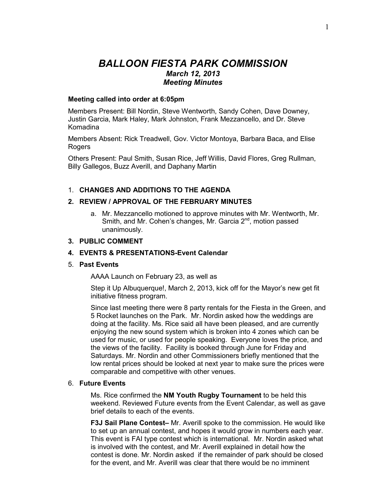# *BALLOON FIESTA PARK COMMISSION March 12, 2013 Meeting Minutes*

## **Meeting called into order at 6:05pm**

Members Present: Bill Nordin, Steve Wentworth, Sandy Cohen, Dave Downey, Justin Garcia, Mark Haley, Mark Johnston, Frank Mezzancello, and Dr. Steve Komadina

Members Absent: Rick Treadwell, Gov. Victor Montoya, Barbara Baca, and Elise Rogers

Others Present: Paul Smith, Susan Rice, Jeff Willis, David Flores, Greg Rullman, Billy Gallegos, Buzz Averill, and Daphany Martin

# 1. **CHANGES AND ADDITIONS TO THE AGENDA**

# **2. REVIEW / APPROVAL OF THE FEBRUARY MINUTES**

a. Mr. Mezzancello motioned to approve minutes with Mr. Wentworth, Mr. Smith, and Mr. Cohen's changes, Mr. Garcia  $2^{nd}$ , motion passed unanimously.

## **3. PUBLIC COMMENT**

# **4. EVENTS & PRESENTATIONS-Event Calendar**

## 5. **Past Events**

AAAA Launch on February 23, as well as

Step it Up Albuquerque!, March 2, 2013, kick off for the Mayor's new get fit initiative fitness program.

Since last meeting there were 8 party rentals for the Fiesta in the Green, and 5 Rocket launches on the Park. Mr. Nordin asked how the weddings are doing at the facility. Ms. Rice said all have been pleased, and are currently enjoying the new sound system which is broken into 4 zones which can be used for music, or used for people speaking. Everyone loves the price, and the views of the facility. Facility is booked through June for Friday and Saturdays. Mr. Nordin and other Commissioners briefly mentioned that the low rental prices should be looked at next year to make sure the prices were comparable and competitive with other venues.

#### 6. **Future Events**

Ms. Rice confirmed the **NM Youth Rugby Tournament** to be held this weekend. Reviewed Future events from the Event Calendar, as well as gave brief details to each of the events.

**F3J Sail Plane Contest–** Mr. Averill spoke to the commission. He would like to set up an annual contest, and hopes it would grow in numbers each year. This event is FAI type contest which is international. Mr. Nordin asked what is involved with the contest, and Mr. Averill explained in detail how the contest is done. Mr. Nordin asked if the remainder of park should be closed for the event, and Mr. Averill was clear that there would be no imminent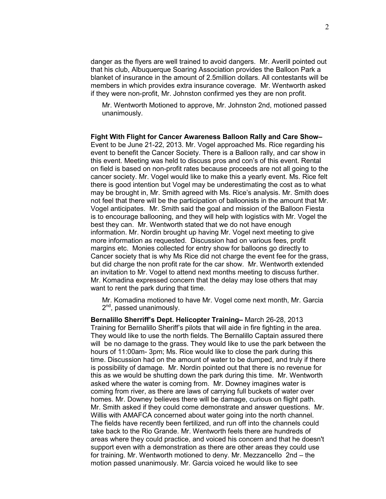danger as the flyers are well trained to avoid dangers. Mr. Averill pointed out that his club, Albuquerque Soaring Association provides the Balloon Park a blanket of insurance in the amount of 2.5million dollars. All contestants will be members in which provides extra insurance coverage. Mr. Wentworth asked if they were non-profit, Mr. Johnston confirmed yes they are non profit.

Mr. Wentworth Motioned to approve, Mr. Johnston 2nd, motioned passed unanimously.

**Fight With Flight for Cancer Awareness Balloon Rally and Care Show–** Event to be June 21-22, 2013. Mr. Vogel approached Ms. Rice regarding his event to benefit the Cancer Society. There is a Balloon rally, and car show in this event. Meeting was held to discuss pros and con's of this event. Rental on field is based on non-profit rates because proceeds are not all going to the cancer society. Mr. Vogel would like to make this a yearly event. Ms. Rice felt there is good intention but Vogel may be underestimating the cost as to what may be brought in, Mr. Smith agreed with Ms. Rice's analysis. Mr. Smith does not feel that there will be the participation of balloonists in the amount that Mr. Vogel anticipates. Mr. Smith said the goal and mission of the Balloon Fiesta is to encourage ballooning, and they will help with logistics with Mr. Vogel the best they can. Mr. Wentworth stated that we do not have enough information. Mr. Nordin brought up having Mr. Vogel next meeting to give more information as requested. Discussion had on various fees, profit margins etc. Monies collected for entry show for balloons go directly to Cancer society that is why Ms Rice did not charge the event fee for the grass, but did charge the non profit rate for the car show. Mr. Wentworth extended an invitation to Mr. Vogel to attend next months meeting to discuss further. Mr. Komadina expressed concern that the delay may lose others that may want to rent the park during that time.

Mr. Komadina motioned to have Mr. Vogel come next month, Mr. Garcia 2<sup>nd</sup>, passed unanimously.

**Bernalillo Sherriff's Dept. Helicopter Training–** March 26-28, 2013 Training for Bernalillo Sheriff's pilots that will aide in fire fighting in the area. They would like to use the north fields. The Bernalillo Captain assured there will be no damage to the grass. They would like to use the park between the hours of 11:00am- 3pm; Ms. Rice would like to close the park during this time. Discussion had on the amount of water to be dumped, and truly if there is possibility of damage. Mr. Nordin pointed out that there is no revenue for this as we would be shutting down the park during this time. Mr. Wentworth asked where the water is coming from. Mr. Downey imagines water is coming from river, as there are laws of carrying full buckets of water over homes. Mr. Downey believes there will be damage, curious on flight path. Mr. Smith asked if they could come demonstrate and answer questions. Mr. Willis with AMAFCA concerned about water going into the north channel. The fields have recently been fertilized, and run off into the channels could take back to the Rio Grande. Mr. Wentworth feels there are hundreds of areas where they could practice, and voiced his concern and that he doesn't support even with a demonstration as there are other areas they could use for training. Mr. Wentworth motioned to deny. Mr. Mezzancello 2nd – the motion passed unanimously. Mr. Garcia voiced he would like to see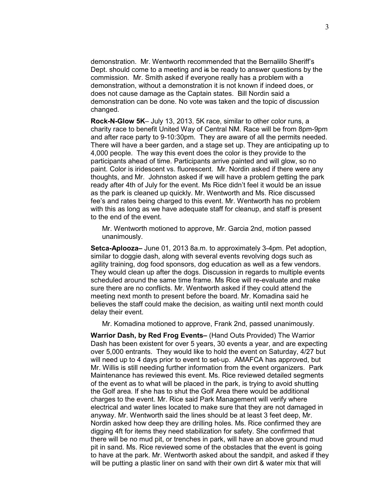demonstration. Mr. Wentworth recommended that the Bernalillo Sheriff's Dept. should come to a meeting and is be ready to answer questions by the commission. Mr. Smith asked if everyone really has a problem with a demonstration, without a demonstration it is not known if indeed does, or does not cause damage as the Captain states. Bill Nordin said a demonstration can be done. No vote was taken and the topic of discussion changed.

**Rock-N-Glow 5K**– July 13, 2013, 5K race, similar to other color runs, a charity race to benefit United Way of Central NM. Race will be from 8pm-9pm and after race party to 9-10:30pm. They are aware of all the permits needed. There will have a beer garden, and a stage set up. They are anticipating up to 4,000 people. The way this event does the color is they provide to the participants ahead of time. Participants arrive painted and will glow, so no paint. Color is iridescent vs. fluorescent. Mr. Nordin asked if there were any thoughts, and Mr. Johnston asked if we will have a problem getting the park ready after 4th of July for the event. Ms Rice didn't feel it would be an issue as the park is cleaned up quickly. Mr. Wentworth and Ms. Rice discussed fee's and rates being charged to this event. Mr. Wentworth has no problem with this as long as we have adequate staff for cleanup, and staff is present to the end of the event.

Mr. Wentworth motioned to approve, Mr. Garcia 2nd, motion passed unanimously.

**Setca-Aplooza–** June 01, 2013 8a.m. to approximately 3-4pm. Pet adoption, similar to doggie dash, along with several events revolving dogs such as agility training, dog food sponsors, dog education as well as a few vendors. They would clean up after the dogs. Discussion in regards to multiple events scheduled around the same time frame. Ms Rice will re-evaluate and make sure there are no conflicts. Mr. Wentworth asked if they could attend the meeting next month to present before the board. Mr. Komadina said he believes the staff could make the decision, as waiting until next month could delay their event.

Mr. Komadina motioned to approve, Frank 2nd, passed unanimously.

**Warrior Dash, by Red Frog Events–** (Hand Outs Provided) The Warrior Dash has been existent for over 5 years, 30 events a year, and are expecting over 5,000 entrants. They would like to hold the event on Saturday, 4/27 but will need up to 4 days prior to event to set-up. AMAFCA has approved, but Mr. Willis is still needing further information from the event organizers. Park Maintenance has reviewed this event. Ms. Rice reviewed detailed segments of the event as to what will be placed in the park, is trying to avoid shutting the Golf area. If she has to shut the Golf Area there would be additional charges to the event. Mr. Rice said Park Management will verify where electrical and water lines located to make sure that they are not damaged in anyway. Mr. Wentworth said the lines should be at least 3 feet deep, Mr. Nordin asked how deep they are drilling holes. Ms. Rice confirmed they are digging 4ft for items they need stabilization for safety. She confirmed that there will be no mud pit, or trenches in park, will have an above ground mud pit in sand. Ms. Rice reviewed some of the obstacles that the event is going to have at the park. Mr. Wentworth asked about the sandpit, and asked if they will be putting a plastic liner on sand with their own dirt & water mix that will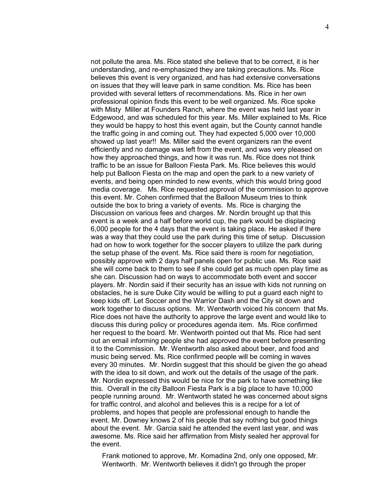not pollute the area. Ms. Rice stated she believe that to be correct, it is her understanding, and re-emphasized they are taking precautions. Ms. Rice believes this event is very organized, and has had extensive conversations on issues that they will leave park in same condition. Ms. Rice has been provided with several letters of recommendations. Ms. Rice in her own professional opinion finds this event to be well organized. Ms. Rice spoke with Misty Miller at Founders Ranch, where the event was held last year in Edgewood, and was scheduled for this year. Ms. Miller explained to Ms. Rice they would be happy to host this event again, but the County cannot handle the traffic going in and coming out. They had expected 5,000 over 10,000 showed up last year!! Ms. Miller said the event organizers ran the event efficiently and no damage was left from the event, and was very pleased on how they approached things, and how it was run. Ms. Rice does not think traffic to be an issue for Balloon Fiesta Park. Ms. Rice believes this would help put Balloon Fiesta on the map and open the park to a new variety of events, and being open minded to new events, which this would bring good media coverage. Ms. Rice requested approval of the commission to approve this event. Mr. Cohen confirmed that the Balloon Museum tries to think outside the box to bring a variety of events. Ms. Rice is charging the Discussion on various fees and charges. Mr. Nordin brought up that this event is a week and a half before world cup, the park would be displacing 6,000 people for the 4 days that the event is taking place. He asked if there was a way that they could use the park during this time of setup. Discussion had on how to work together for the soccer players to utilize the park during the setup phase of the event. Ms. Rice said there is room for negotiation, possibly approve with 2 days half panels open for public use. Ms. Rice said she will come back to them to see if she could get as much open play time as she can. Discussion had on ways to accommodate both event and soccer players. Mr. Nordin said if their security has an issue with kids not running on obstacles, he is sure Duke City would be willing to put a guard each night to keep kids off. Let Soccer and the Warrior Dash and the City sit down and work together to discuss options. Mr. Wentworth voiced his concern that Ms. Rice does not have the authority to approve the large event and would like to discuss this during policy or procedures agenda item. Ms. Rice confirmed her request to the board. Mr. Wentworth pointed out that Ms. Rice had sent out an email informing people she had approved the event before presenting it to the Commission. Mr. Wentworth also asked about beer, and food and music being served. Ms. Rice confirmed people will be coming in waves every 30 minutes. Mr. Nordin suggest that this should be given the go ahead with the idea to sit down, and work out the details of the usage of the park. Mr. Nordin expressed this would be nice for the park to have something like this. Overall in the city Balloon Fiesta Park is a big place to have 10,000 people running around. Mr. Wentworth stated he was concerned about signs for traffic control, and alcohol and believes this is a recipe for a lot of problems, and hopes that people are professional enough to handle the event. Mr. Downey knows 2 of his people that say nothing but good things about the event. Mr. Garcia said he attended the event last year, and was awesome. Ms. Rice said her affirmation from Misty sealed her approval for the event.

Frank motioned to approve, Mr. Komadina 2nd, only one opposed, Mr. Wentworth. Mr. Wentworth believes it didn't go through the proper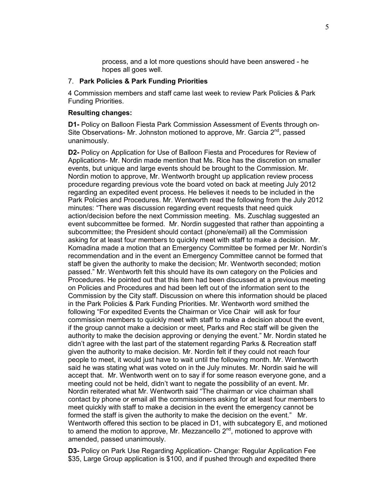process, and a lot more questions should have been answered - he hopes all goes well.

# 7. **Park Policies & Park Funding Priorities**

4 Commission members and staff came last week to review Park Policies & Park Funding Priorities.

#### **Resulting changes:**

**D1-** Policy on Balloon Fiesta Park Commission Assessment of Events through on-Site Observations- Mr. Johnston motioned to approve, Mr. Garcia 2<sup>nd</sup>, passed unanimously.

**D2-** Policy on Application for Use of Balloon Fiesta and Procedures for Review of Applications- Mr. Nordin made mention that Ms. Rice has the discretion on smaller events, but unique and large events should be brought to the Commission. Mr. Nordin motion to approve, Mr. Wentworth brought up application review process procedure regarding previous vote the board voted on back at meeting July 2012 regarding an expedited event process. He believes it needs to be included in the Park Policies and Procedures. Mr. Wentworth read the following from the July 2012 minutes: "There was discussion regarding event requests that need quick action/decision before the next Commission meeting. Ms. Zuschlag suggested an event subcommittee be formed. Mr. Nordin suggested that rather than appointing a subcommittee; the President should contact (phone/email) all the Commission asking for at least four members to quickly meet with staff to make a decision. Mr. Komadina made a motion that an Emergency Committee be formed per Mr. Nordin's recommendation and in the event an Emergency Committee cannot be formed that staff be given the authority to make the decision; Mr. Wentworth seconded; motion passed." Mr. Wentworth felt this should have its own category on the Policies and Procedures. He pointed out that this item had been discussed at a previous meeting on Policies and Procedures and had been left out of the information sent to the Commission by the City staff. Discussion on where this information should be placed in the Park Policies & Park Funding Priorities. Mr. Wentworth word smithed the following "For expedited Events the Chairman or Vice Chair will ask for four commission members to quickly meet with staff to make a decision about the event, if the group cannot make a decision or meet, Parks and Rec staff will be given the authority to make the decision approving or denying the event." Mr. Nordin stated he didn't agree with the last part of the statement regarding Parks & Recreation staff given the authority to make decision. Mr. Nordin felt if they could not reach four people to meet, it would just have to wait until the following month. Mr. Wentworth said he was stating what was voted on in the July minutes. Mr. Nordin said he will accept that. Mr. Wentworth went on to say if for some reason everyone gone, and a meeting could not be held, didn't want to negate the possibility of an event. Mr. Nordin reiterated what Mr. Wentworth said "The chairman or vice chairman shall contact by phone or email all the commissioners asking for at least four members to meet quickly with staff to make a decision in the event the emergency cannot be formed the staff is given the authority to make the decision on the event." Mr. Wentworth offered this section to be placed in D1, with subcategory E, and motioned to amend the motion to approve, Mr. Mezzancello 2<sup>nd</sup>, motioned to approve with amended, passed unanimously.

**D3-** Policy on Park Use Regarding Application- Change: Regular Application Fee \$35, Large Group application is \$100, and if pushed through and expedited there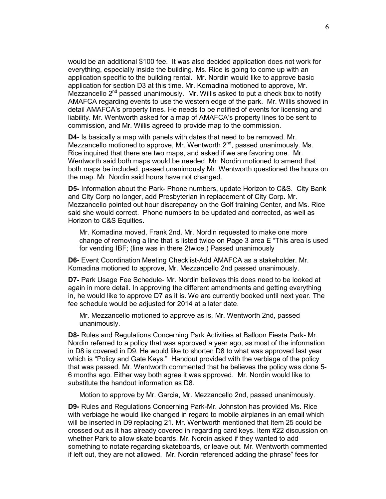would be an additional \$100 fee. It was also decided application does not work for everything, especially inside the building. Ms. Rice is going to come up with an application specific to the building rental. Mr. Nordin would like to approve basic application for section D3 at this time. Mr. Komadina motioned to approve, Mr. Mezzancello  $2^{nd}$  passed unanimously. Mr. Willis asked to put a check box to notify AMAFCA regarding events to use the western edge of the park. Mr. Willis showed in detail AMAFCA's property lines. He needs to be notified of events for licensing and liability. Mr. Wentworth asked for a map of AMAFCA's property lines to be sent to commission, and Mr. Willis agreed to provide map to the commission.

**D4-** Is basically a map with panels with dates that need to be removed. Mr. Mezzancello motioned to approve, Mr. Wentworth  $2<sup>nd</sup>$ , passed unanimously. Ms. Rice inquired that there are two maps, and asked if we are favoring one. Mr. Wentworth said both maps would be needed. Mr. Nordin motioned to amend that both maps be included, passed unanimously Mr. Wentworth questioned the hours on the map. Mr. Nordin said hours have not changed.

**D5-** Information about the Park- Phone numbers, update Horizon to C&S. City Bank and City Corp no longer, add Presbyterian in replacement of City Corp. Mr. Mezzancello pointed out hour discrepancy on the Golf training Center, and Ms. Rice said she would correct. Phone numbers to be updated and corrected, as well as Horizon to C&S Equities.

Mr. Komadina moved, Frank 2nd. Mr. Nordin requested to make one more change of removing a line that is listed twice on Page 3 area E "This area is used for vending IBF; (line was in there 2twice.) Passed unanimously

**D6-** Event Coordination Meeting Checklist-Add AMAFCA as a stakeholder. Mr. Komadina motioned to approve, Mr. Mezzancello 2nd passed unanimously.

**D7-** Park Usage Fee Schedule- Mr. Nordin believes this does need to be looked at again in more detail. In approving the different amendments and getting everything in, he would like to approve D7 as it is. We are currently booked until next year. The fee schedule would be adjusted for 2014 at a later date.

Mr. Mezzancello motioned to approve as is, Mr. Wentworth 2nd, passed unanimously.

**D8-** Rules and Regulations Concerning Park Activities at Balloon Fiesta Park- Mr. Nordin referred to a policy that was approved a year ago, as most of the information in D8 is covered in D9. He would like to shorten D8 to what was approved last year which is "Policy and Gate Keys." Handout provided with the verbiage of the policy that was passed. Mr. Wentworth commented that he believes the policy was done 5- 6 months ago. Either way both agree it was approved. Mr. Nordin would like to substitute the handout information as D8.

Motion to approve by Mr. Garcia, Mr. Mezzancello 2nd, passed unanimously.

**D9-** Rules and Regulations Concerning Park-Mr. Johnston has provided Ms. Rice with verbiage he would like changed in regard to mobile airplanes in an email which will be inserted in D9 replacing 21. Mr. Wentworth mentioned that Item 25 could be crossed out as it has already covered in regarding card keys. Item #22 discussion on whether Park to allow skate boards. Mr. Nordin asked if they wanted to add something to notate regarding skateboards, or leave out. Mr. Wentworth commented if left out, they are not allowed. Mr. Nordin referenced adding the phrase" fees for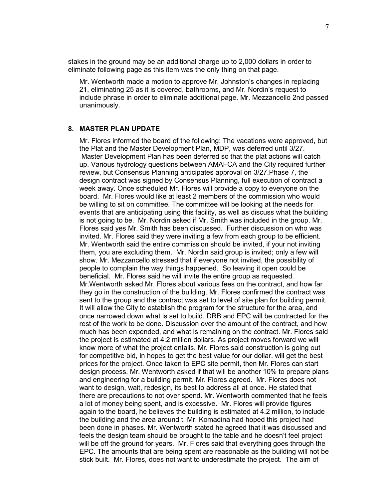stakes in the ground may be an additional charge up to 2,000 dollars in order to eliminate following page as this item was the only thing on that page.

Mr. Wentworth made a motion to approve Mr. Johnston's changes in replacing 21, eliminating 25 as it is covered, bathrooms, and Mr. Nordin's request to include phrase in order to eliminate additional page. Mr. Mezzancello 2nd passed unanimously.

## **8. MASTER PLAN UPDATE**

Mr. Flores informed the board of the following: The vacations were approved, but the Plat and the Master Development Plan, MDP, was deferred until 3/27. Master Development Plan has been deferred so that the plat actions will catch up. Various hydrology questions between AMAFCA and the City required further review, but Consensus Planning anticipates approval on 3/27.Phase 7, the design contract was signed by Consensus Planning, full execution of contract a week away. Once scheduled Mr. Flores will provide a copy to everyone on the board. Mr. Flores would like at least 2 members of the commission who would be willing to sit on committee. The committee will be looking at the needs for events that are anticipating using this facility, as well as discuss what the building is not going to be. Mr. Nordin asked if Mr. Smith was included in the group. Mr. Flores said yes Mr. Smith has been discussed. Further discussion on who was invited. Mr. Flores said they were inviting a few from each group to be efficient. Mr. Wentworth said the entire commission should be invited, if your not inviting them, you are excluding them. Mr. Nordin said group is invited; only a few will show. Mr. Mezzancello stressed that if everyone not invited, the possibility of people to complain the way things happened. So leaving it open could be beneficial. Mr. Flores said he will invite the entire group as requested. Mr.Wentworth asked Mr. Flores about various fees on the contract, and how far they go in the construction of the building. Mr. Flores confirmed the contract was sent to the group and the contract was set to level of site plan for building permit. It will allow the City to establish the program for the structure for the area, and once narrowed down what is set to build. DRB and EPC will be contracted for the rest of the work to be done. Discussion over the amount of the contract, and how much has been expended, and what is remaining on the contract. Mr. Flores said the project is estimated at 4.2 million dollars. As project moves forward we will know more of what the project entails. Mr. Flores said construction is going out for competitive bid, in hopes to get the best value for our dollar. will get the best prices for the project. Once taken to EPC site permit, then Mr. Flores can start design process. Mr. Wentworth asked if that will be another 10% to prepare plans and engineering for a building permit, Mr. Flores agreed. Mr. Flores does not want to design, wait, redesign, its best to address all at once. He stated that there are precautions to not over spend. Mr. Wentworth commented that he feels a lot of money being spent, and is excessive. Mr. Flores will provide figures again to the board, he believes the building is estimated at 4.2 million, to include the building and the area around t. Mr. Komadina had hoped this project had been done in phases. Mr. Wentworth stated he agreed that it was discussed and feels the design team should be brought to the table and he doesn't feel project will be off the ground for years. Mr. Flores said that everything goes through the EPC. The amounts that are being spent are reasonable as the building will not be stick built. Mr. Flores, does not want to underestimate the project. The aim of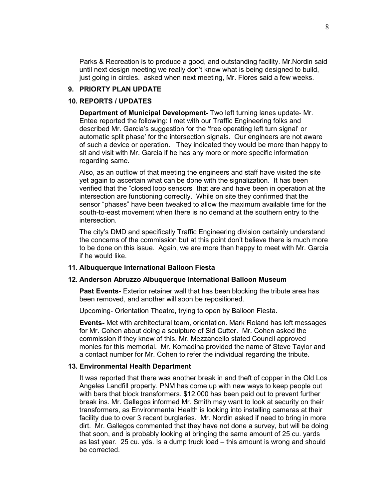Parks & Recreation is to produce a good, and outstanding facility. Mr.Nordin said until next design meeting we really don't know what is being designed to build, just going in circles. asked when next meeting, Mr. Flores said a few weeks.

## **9. PRIORTY PLAN UPDATE**

# **10. REPORTS / UPDATES**

**Department of Municipal Development-** Two left turning lanes update- Mr. Entee reported the following: I met with our Traffic Engineering folks and described Mr. Garcia's suggestion for the 'free operating left turn signal' or automatic split phase' for the intersection signals. Our engineers are not aware of such a device or operation. They indicated they would be more than happy to sit and visit with Mr. Garcia if he has any more or more specific information regarding same.

Also, as an outflow of that meeting the engineers and staff have visited the site yet again to ascertain what can be done with the signalization. It has been verified that the "closed loop sensors" that are and have been in operation at the intersection are functioning correctly. While on site they confirmed that the sensor "phases" have been tweaked to allow the maximum available time for the south-to-east movement when there is no demand at the southern entry to the intersection.

The city's DMD and specifically Traffic Engineering division certainly understand the concerns of the commission but at this point don't believe there is much more to be done on this issue. Again, we are more than happy to meet with Mr. Garcia if he would like.

# **11. Albuquerque International Balloon Fiesta**

#### **12. Anderson Abruzzo Albuquerque International Balloon Museum**

**Past Events-** Exterior retainer wall that has been blocking the tribute area has been removed, and another will soon be repositioned.

Upcoming- Orientation Theatre, trying to open by Balloon Fiesta.

**Events-** Met with architectural team, orientation. Mark Roland has left messages for Mr. Cohen about doing a sculpture of Sid Cutter. Mr. Cohen asked the commission if they knew of this. Mr. Mezzancello stated Council approved monies for this memorial. Mr. Komadina provided the name of Steve Taylor and a contact number for Mr. Cohen to refer the individual regarding the tribute.

# **13. Environmental Health Department**

It was reported that there was another break in and theft of copper in the Old Los Angeles Landfill property. PNM has come up with new ways to keep people out with bars that block transformers. \$12,000 has been paid out to prevent further break ins. Mr. Gallegos informed Mr. Smith may want to look at security on their transformers, as Environmental Health is looking into installing cameras at their facility due to over 3 recent burglaries. Mr. Nordin asked if need to bring in more dirt. Mr. Gallegos commented that they have not done a survey, but will be doing that soon, and is probably looking at bringing the same amount of 25 cu. yards as last year. 25 cu. yds. Is a dump truck load – this amount is wrong and should be corrected.